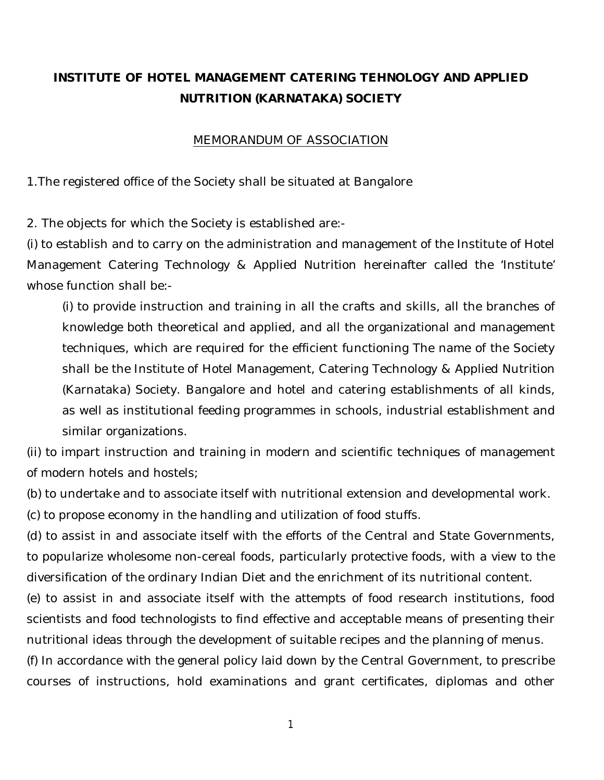# **INSTITUTE OF HOTEL MANAGEMENT CATERING TEHNOLOGY AND APPLIED NUTRITION (KARNATAKA) SOCIETY**

## *MEMORANDUM OF ASSOCIATION*

1.The registered office of the Society shall be situated at Bangalore

2. The objects for which the Society is established are:-

(i) to establish and to carry on the administration and management of the Institute of Hotel Management Catering Technology & Applied Nutrition hereinafter called the 'Institute' whose function shall be:-

(i) to provide instruction and training in all the crafts and skills, all the branches of knowledge both theoretical and applied, and all the organizational and management techniques, which are required for the efficient functioning The name of the Society shall be the Institute of Hotel Management, Catering Technology & Applied Nutrition (Karnataka) Society. Bangalore and hotel and catering establishments of all kinds, as well as institutional feeding programmes in schools, industrial establishment and similar organizations.

(ii) to impart instruction and training in modern and scientific techniques of management of modern hotels and hostels;

(b) to undertake and to associate itself with nutritional extension and developmental work.

(c) to propose economy in the handling and utilization of food stuffs.

(d) to assist in and associate itself with the efforts of the Central and State Governments, to popularize wholesome non-cereal foods, particularly protective foods, with a view to the diversification of the ordinary Indian Diet and the enrichment of its nutritional content.

(e) to assist in and associate itself with the attempts of food research institutions, food scientists and food technologists to find effective and acceptable means of presenting their nutritional ideas through the development of suitable recipes and the planning of menus.

(f) In accordance with the general policy laid down by the Central Government, to prescribe courses of instructions, hold examinations and grant certificates, diplomas and other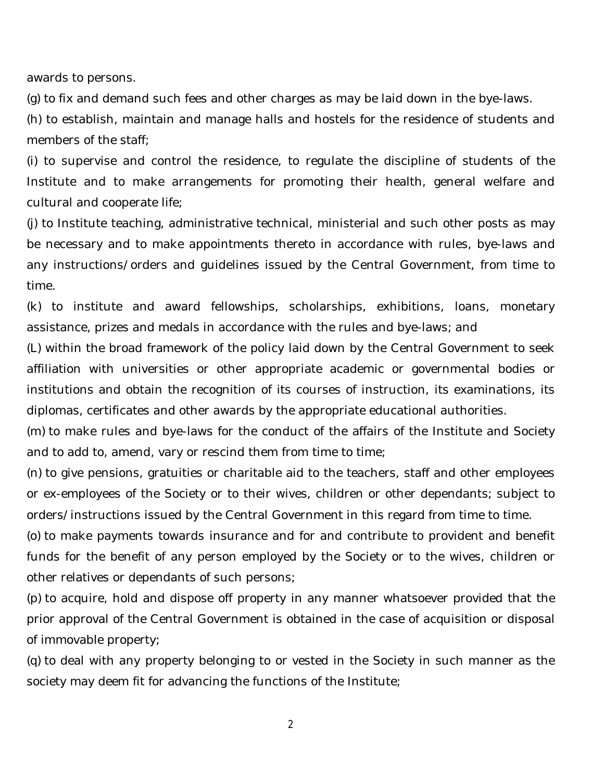awards to persons.

(g) to fix and demand such fees and other charges as may be laid down in the bye-laws.

(h) to establish, maintain and manage halls and hostels for the residence of students and members of the staff;

(i) to supervise and control the residence, to regulate the discipline of students of the Institute and to make arrangements for promoting their health, general welfare and cultural and cooperate life;

(j) to Institute teaching, administrative technical, ministerial and such other posts as may be necessary and to make appointments thereto in accordance with rules, bye-laws and any instructions/orders and guidelines issued by the Central Government, from time to time.

(k) to institute and award fellowships, scholarships, exhibitions, loans, monetary assistance, prizes and medals in accordance with the rules and bye-laws; and

(L) within the broad framework of the policy laid down by the Central Government to seek affiliation with universities or other appropriate academic or governmental bodies or institutions and obtain the recognition of its courses of instruction, its examinations, its diplomas, certificates and other awards by the appropriate educational authorities.

(m) to make rules and bye-laws for the conduct of the affairs of the Institute and Society and to add to, amend, vary or rescind them from time to time;

(n) to give pensions, gratuities or charitable aid to the teachers, staff and other employees or ex-employees of the Society or to their wives, children or other dependants; subject to orders/instructions issued by the Central Government in this regard from time to time.

(o) to make payments towards insurance and for and contribute to provident and benefit funds for the benefit of any person employed by the Society or to the wives, children or other relatives or dependants of such persons;

(p) to acquire, hold and dispose off property in any manner whatsoever provided that the prior approval of the Central Government is obtained in the case of acquisition or disposal of immovable property;

(q) to deal with any property belonging to or vested in the Society in such manner as the society may deem fit for advancing the functions of the Institute;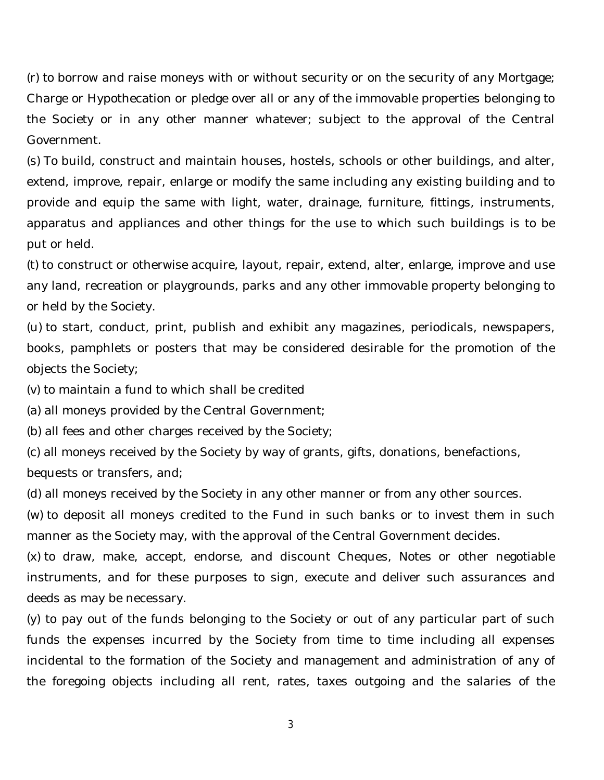(r) to borrow and raise moneys with or without security or on the security of any Mortgage; Charge or Hypothecation or pledge over all or any of the immovable properties belonging to the Society or in any other manner whatever; subject to the approval of the Central Government.

(s) To build, construct and maintain houses, hostels, schools or other buildings, and alter, extend, improve, repair, enlarge or modify the same including any existing building and to provide and equip the same with light, water, drainage, furniture, fittings, instruments, apparatus and appliances and other things for the use to which such buildings is to be put or held.

(t) to construct or otherwise acquire, layout, repair, extend, alter, enlarge, improve and use any land, recreation or playgrounds, parks and any other immovable property belonging to or held by the Society.

(u) to start, conduct, print, publish and exhibit any magazines, periodicals, newspapers, books, pamphlets or posters that may be considered desirable for the promotion of the objects the Society;

(v) to maintain a fund to which shall be credited

(a) all moneys provided by the Central Government;

(b) all fees and other charges received by the Society;

(c) all moneys received by the Society by way of grants, gifts, donations, benefactions, bequests or transfers, and;

(d) all moneys received by the Society in any other manner or from any other sources.

(w) to deposit all moneys credited to the Fund in such banks or to invest them in such manner as the Society may, with the approval of the Central Government decides.

(x) to draw, make, accept, endorse, and discount Cheques, Notes or other negotiable instruments, and for these purposes to sign, execute and deliver such assurances and deeds as may be necessary.

(y) to pay out of the funds belonging to the Society or out of any particular part of such funds the expenses incurred by the Society from time to time including all expenses incidental to the formation of the Society and management and administration of any of the foregoing objects including all rent, rates, taxes outgoing and the salaries of the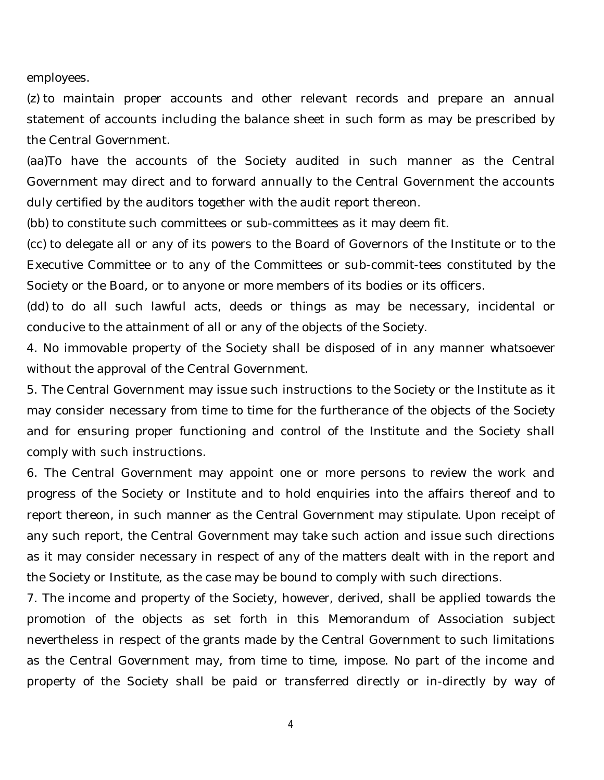employees.

(z) to maintain proper accounts and other relevant records and prepare an annual statement of accounts including the balance sheet in such form as may be prescribed by the Central Government.

(aa)To have the accounts of the Society audited in such manner as the Central Government may direct and to forward annually to the Central Government the accounts duly certified by the auditors together with the audit report thereon.

(bb) to constitute such committees or sub-committees as it may deem fit.

(cc) to delegate all or any of its powers to the Board of Governors of the Institute or to the Executive Committee or to any of the Committees or sub-commit-tees constituted by the Society or the Board, or to anyone or more members of its bodies or its officers.

(dd) to do all such lawful acts, deeds or things as may be necessary, incidental or conducive to the attainment of all or any of the objects of the Society.

4. No immovable property of the Society shall be disposed of in any manner whatsoever without the approval of the Central Government.

5. The Central Government may issue such instructions to the Society or the Institute as it may consider necessary from time to time for the furtherance of the objects of the Society and for ensuring proper functioning and control of the Institute and the Society shall comply with such instructions.

6. The Central Government may appoint one or more persons to review the work and progress of the Society or Institute and to hold enquiries into the affairs thereof and to report thereon, in such manner as the Central Government may stipulate. Upon receipt of any such report, the Central Government may take such action and issue such directions as it may consider necessary in respect of any of the matters dealt with in the report and the Society or Institute, as the case may be bound to comply with such directions.

7. The income and property of the Society, however, derived, shall be applied towards the promotion of the objects as set forth in this Memorandum of Association subject nevertheless in respect of the grants made by the Central Government to such limitations as the Central Government may, from time to time, impose. No part of the income and property of the Society shall be paid or transferred directly or in-directly by way of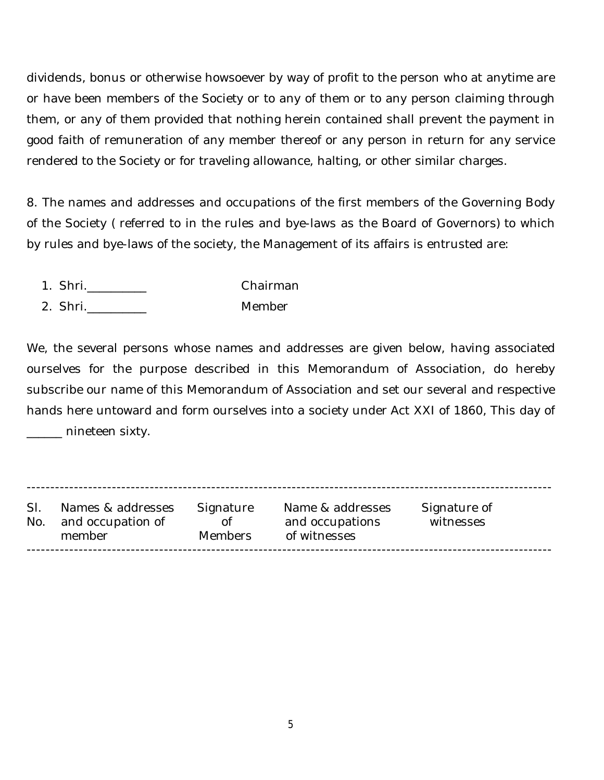dividends, bonus or otherwise howsoever by way of profit to the person who at anytime are or have been members of the Society or to any of them or to any person claiming through them, or any of them provided that nothing herein contained shall prevent the payment in good faith of remuneration of any member thereof or any person in return for any service rendered to the Society or for traveling allowance, halting, or other similar charges.

8. The names and addresses and occupations of the first members of the Governing Body of the Society ( referred to in the rules and bye-laws as the Board of Governors) to which by rules and bye-laws of the society, the Management of its affairs is entrusted are:

- 1. Shri.\_\_\_\_\_\_\_\_\_\_ Chairman
- 2. Shri. Member

We, the several persons whose names and addresses are given below, having associated ourselves for the purpose described in this Memorandum of Association, do hereby subscribe our name of this Memorandum of Association and set our several and respective hands here untoward and form ourselves into a society under Act XXI of 1860, This day of \_\_\_\_\_\_ nineteen sixty.

--------------------------------------------------------------------------------------------------------------- Sl. Names & addresses Signature Name & addresses Signature of No. and occupation of of and occupations witnesses member Members of witnesses ---------------------------------------------------------------------------------------------------------------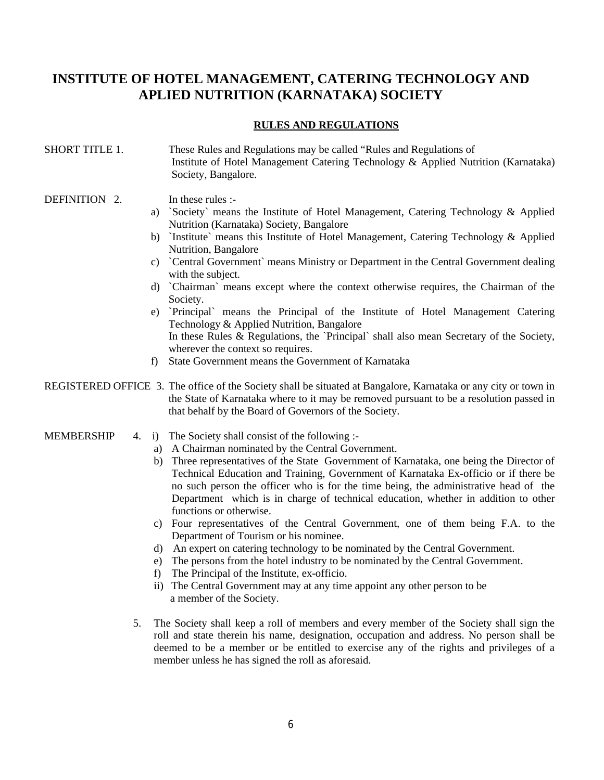## **INSTITUTE OF HOTEL MANAGEMENT, CATERING TECHNOLOGY AND APLIED NUTRITION (KARNATAKA) SOCIETY**

## **RULES AND REGULATIONS**

## SHORT TITLE 1. These Rules and Regulations may be called "Rules and Regulations of Institute of Hotel Management Catering Technology & Applied Nutrition (Karnataka) Society, Bangalore.

### DEFINITION 2. In these rules :-

- a) `Society` means the Institute of Hotel Management, Catering Technology & Applied Nutrition (Karnataka) Society, Bangalore
- b) `Institute` means this Institute of Hotel Management, Catering Technology & Applied Nutrition, Bangalore
- c) `Central Government` means Ministry or Department in the Central Government dealing with the subject.
- d) `Chairman` means except where the context otherwise requires, the Chairman of the Society.
- e) `Principal` means the Principal of the Institute of Hotel Management Catering Technology & Applied Nutrition, Bangalore In these Rules & Regulations, the `Principal` shall also mean Secretary of the Society, wherever the context so requires.
- f) State Government means the Government of Karnataka

## REGISTERED OFFICE 3. The office of the Society shall be situated at Bangalore, Karnataka or any city or town in the State of Karnataka where to it may be removed pursuant to be a resolution passed in that behalf by the Board of Governors of the Society.

## MEMBERSHIP  $\overline{4}$ . i) The Society shall consist of the following :-

- a) A Chairman nominated by the Central Government.
- b) Three representatives of the State Government of Karnataka, one being the Director of Technical Education and Training, Government of Karnataka Ex-officio or if there be no such person the officer who is for the time being, the administrative head of the Department which is in charge of technical education, whether in addition to other functions or otherwise.
- c) Four representatives of the Central Government, one of them being F.A. to the Department of Tourism or his nominee.
- d) An expert on catering technology to be nominated by the Central Government.
- e) The persons from the hotel industry to be nominated by the Central Government.
- f) The Principal of the Institute, ex-officio.
- ii) The Central Government may at any time appoint any other person to be a member of the Society.
- 5. The Society shall keep a roll of members and every member of the Society shall sign the roll and state therein his name, designation, occupation and address. No person shall be deemed to be a member or be entitled to exercise any of the rights and privileges of a member unless he has signed the roll as aforesaid.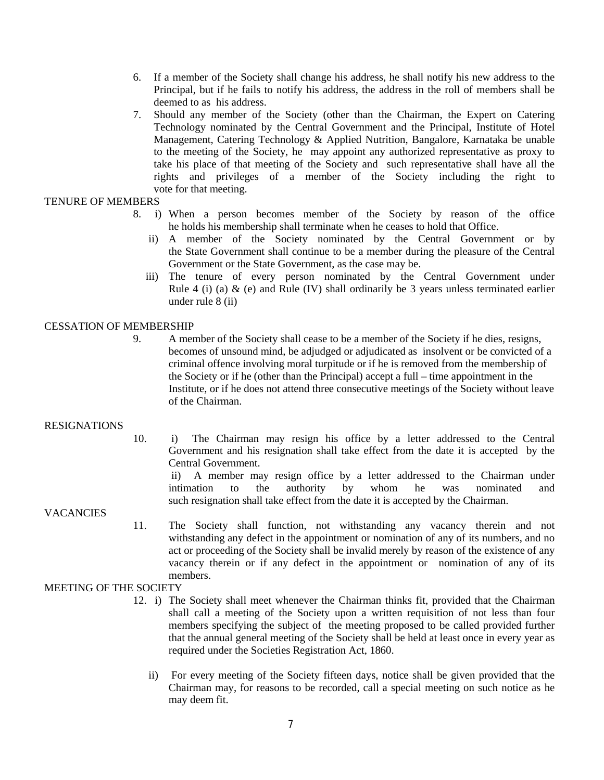- 6. If a member of the Society shall change his address, he shall notify his new address to the Principal, but if he fails to notify his address, the address in the roll of members shall be deemed to as his address.
- 7. Should any member of the Society (other than the Chairman, the Expert on Catering Technology nominated by the Central Government and the Principal, Institute of Hotel Management, Catering Technology & Applied Nutrition, Bangalore, Karnataka be unable to the meeting of the Society, he may appoint any authorized representative as proxy to take his place of that meeting of the Society and such representative shall have all the rights and privileges of a member of the Society including the right to vote for that meeting.

## TENURE OF MEMBERS

- 8. i) When a person becomes member of the Society by reason of the office he holds his membership shall terminate when he ceases to hold that Office.
	- ii) A member of the Society nominated by the Central Government or by the State Government shall continue to be a member during the pleasure of the Central Government or the State Government, as the case may be.
	- iii) The tenure of every person nominated by the Central Government under Rule 4 (i) (a)  $\&$  (e) and Rule (IV) shall ordinarily be 3 years unless terminated earlier under rule 8 (ii)

#### CESSATION OF MEMBERSHIP

9. A member of the Society shall cease to be a member of the Society if he dies, resigns, becomes of unsound mind, be adjudged or adjudicated as insolvent or be convicted of a criminal offence involving moral turpitude or if he is removed from the membership of the Society or if he (other than the Principal) accept a full – time appointment in the Institute, or if he does not attend three consecutive meetings of the Society without leave of the Chairman.

#### RESIGNATIONS

10. i) The Chairman may resign his office by a letter addressed to the Central Government and his resignation shall take effect from the date it is accepted by the Central Government.

 ii) A member may resign office by a letter addressed to the Chairman under intimation to the authority by whom he was nominated and such resignation shall take effect from the date it is accepted by the Chairman.

#### VACANCIES

11. The Society shall function, not withstanding any vacancy therein and not withstanding any defect in the appointment or nomination of any of its numbers, and no act or proceeding of the Society shall be invalid merely by reason of the existence of any vacancy therein or if any defect in the appointment or nomination of any of its members.

## MEETING OF THE SOCIETY

- 12. i) The Society shall meet whenever the Chairman thinks fit, provided that the Chairman shall call a meeting of the Society upon a written requisition of not less than four members specifying the subject of the meeting proposed to be called provided further that the annual general meeting of the Society shall be held at least once in every year as required under the Societies Registration Act, 1860.
	- ii) For every meeting of the Society fifteen days, notice shall be given provided that the Chairman may, for reasons to be recorded, call a special meeting on such notice as he may deem fit.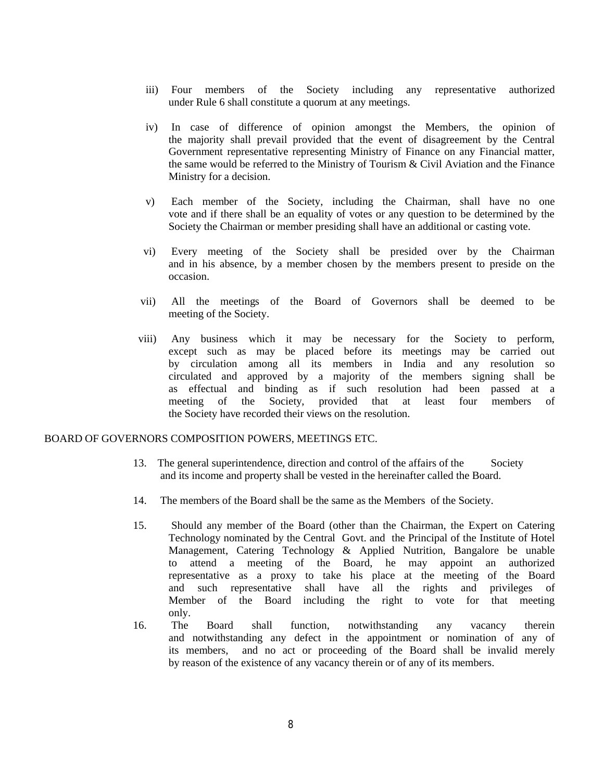- iii) Four members of the Society including any representative authorized under Rule 6 shall constitute a quorum at any meetings.
- iv) In case of difference of opinion amongst the Members, the opinion of the majority shall prevail provided that the event of disagreement by the Central Government representative representing Ministry of Finance on any Financial matter, the same would be referred to the Ministry of Tourism  $\&$  Civil Aviation and the Finance Ministry for a decision.
- v) Each member of the Society, including the Chairman, shall have no one vote and if there shall be an equality of votes or any question to be determined by the Society the Chairman or member presiding shall have an additional or casting vote.
- vi) Every meeting of the Society shall be presided over by the Chairman and in his absence, by a member chosen by the members present to preside on the occasion.
- vii) All the meetings of the Board of Governors shall be deemed to be meeting of the Society.
- viii) Any business which it may be necessary for the Society to perform, except such as may be placed before its meetings may be carried out by circulation among all its members in India and any resolution so circulated and approved by a majority of the members signing shall be as effectual and binding as if such resolution had been passed at a meeting of the Society, provided that at least four members of the Society have recorded their views on the resolution.

#### BOARD OF GOVERNORS COMPOSITION POWERS, MEETINGS ETC.

- 13. The general superintendence, direction and control of the affairs of the Society and its income and property shall be vested in the hereinafter called the Board.
- 14. The members of the Board shall be the same as the Members of the Society.
- 15. Should any member of the Board (other than the Chairman, the Expert on Catering Technology nominated by the Central Govt. and the Principal of the Institute of Hotel Management, Catering Technology & Applied Nutrition, Bangalore be unable to attend a meeting of the Board, he may appoint an authorized representative as a proxy to take his place at the meeting of the Board and such representative shall have all the rights and privileges of Member of the Board including the right to vote for that meeting only.
- 16. The Board shall function, notwithstanding any vacancy therein and notwithstanding any defect in the appointment or nomination of any of its members, and no act or proceeding of the Board shall be invalid merely by reason of the existence of any vacancy therein or of any of its members.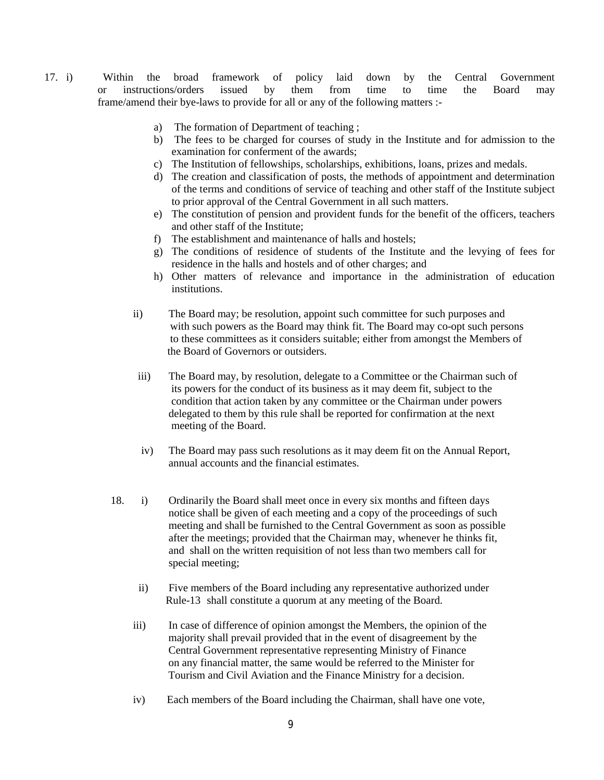- 17. i) Within the broad framework of policy laid down by the Central Government or instructions/orders issued by them from time to time the Board may frame/amend their bye-laws to provide for all or any of the following matters :
	- a) The formation of Department of teaching ;
	- b) The fees to be charged for courses of study in the Institute and for admission to the examination for conferment of the awards;
	- c) The Institution of fellowships, scholarships, exhibitions, loans, prizes and medals.
	- d) The creation and classification of posts, the methods of appointment and determination of the terms and conditions of service of teaching and other staff of the Institute subject to prior approval of the Central Government in all such matters.
	- e) The constitution of pension and provident funds for the benefit of the officers, teachers and other staff of the Institute;
	- f) The establishment and maintenance of halls and hostels;
	- g) The conditions of residence of students of the Institute and the levying of fees for residence in the halls and hostels and of other charges; and
	- h) Other matters of relevance and importance in the administration of education institutions.
	- ii) The Board may; be resolution, appoint such committee for such purposes and with such powers as the Board may think fit. The Board may co-opt such persons to these committees as it considers suitable; either from amongst the Members of the Board of Governors or outsiders.
	- iii) The Board may, by resolution, delegate to a Committee or the Chairman such of its powers for the conduct of its business as it may deem fit, subject to the condition that action taken by any committee or the Chairman under powers delegated to them by this rule shall be reported for confirmation at the next meeting of the Board.
	- iv) The Board may pass such resolutions as it may deem fit on the Annual Report, annual accounts and the financial estimates.
	- 18. i) Ordinarily the Board shall meet once in every six months and fifteen days notice shall be given of each meeting and a copy of the proceedings of such meeting and shall be furnished to the Central Government as soon as possible after the meetings; provided that the Chairman may, whenever he thinks fit, and shall on the written requisition of not less than two members call for special meeting;
		- ii) Five members of the Board including any representative authorized under Rule-13 shall constitute a quorum at any meeting of the Board.
		- iii) In case of difference of opinion amongst the Members, the opinion of the majority shall prevail provided that in the event of disagreement by the Central Government representative representing Ministry of Finance on any financial matter, the same would be referred to the Minister for Tourism and Civil Aviation and the Finance Ministry for a decision.
		- iv) Each members of the Board including the Chairman, shall have one vote,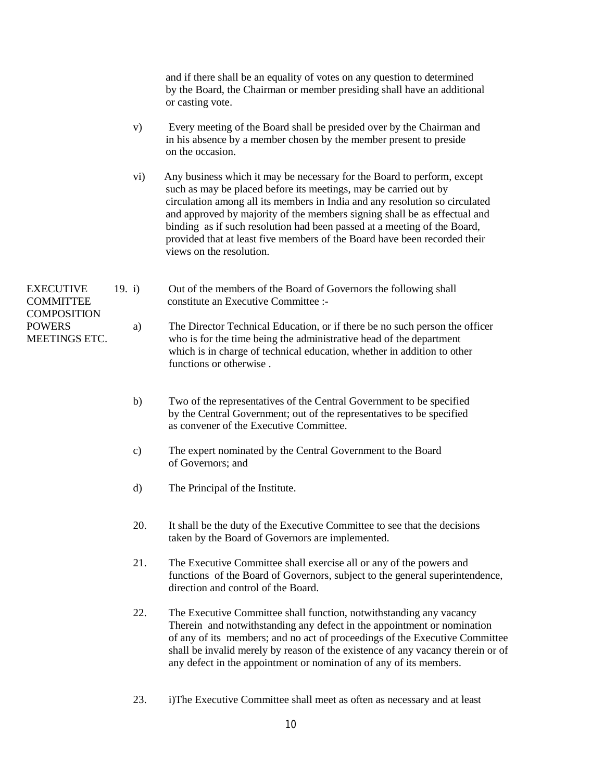and if there shall be an equality of votes on any question to determined by the Board, the Chairman or member presiding shall have an additional or casting vote.

- v) Every meeting of the Board shall be presided over by the Chairman and in his absence by a member chosen by the member present to preside on the occasion.
- vi) Any business which it may be necessary for the Board to perform, except such as may be placed before its meetings, may be carried out by circulation among all its members in India and any resolution so circulated and approved by majority of the members signing shall be as effectual and binding as if such resolution had been passed at a meeting of the Board, provided that at least five members of the Board have been recorded their views on the resolution.

EXECUTIVE 19. i) Out of the members of the Board of Governors the following shall COMMITTEE constitute an Executive Committee :- **COMPOSITION** POWERS a) The Director Technical Education, or if there be no such person the officer MEETINGS ETC. who is for the time being the administrative head of the department which is in charge of technical education, whether in addition to other functions or otherwise .

- b) Two of the representatives of the Central Government to be specified by the Central Government; out of the representatives to be specified as convener of the Executive Committee.
- c) The expert nominated by the Central Government to the Board of Governors; and
- d) The Principal of the Institute.
- 20. It shall be the duty of the Executive Committee to see that the decisions taken by the Board of Governors are implemented.
- 21. The Executive Committee shall exercise all or any of the powers and functions of the Board of Governors, subject to the general superintendence, direction and control of the Board.
- 22. The Executive Committee shall function, notwithstanding any vacancy Therein and notwithstanding any defect in the appointment or nomination of any of its members; and no act of proceedings of the Executive Committee shall be invalid merely by reason of the existence of any vacancy therein or of any defect in the appointment or nomination of any of its members.
- 23. i)The Executive Committee shall meet as often as necessary and at least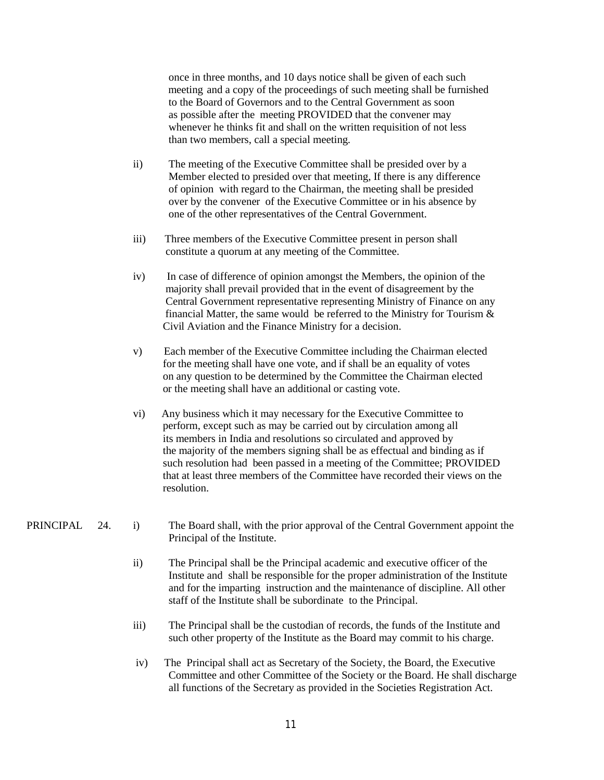once in three months, and 10 days notice shall be given of each such meeting and a copy of the proceedings of such meeting shall be furnished to the Board of Governors and to the Central Government as soon as possible after the meeting PROVIDED that the convener may whenever he thinks fit and shall on the written requisition of not less than two members, call a special meeting.

- ii) The meeting of the Executive Committee shall be presided over by a Member elected to presided over that meeting, If there is any difference of opinion with regard to the Chairman, the meeting shall be presided over by the convener of the Executive Committee or in his absence by one of the other representatives of the Central Government.
- iii) Three members of the Executive Committee present in person shall constitute a quorum at any meeting of the Committee.
- iv) In case of difference of opinion amongst the Members, the opinion of the majority shall prevail provided that in the event of disagreement by the Central Government representative representing Ministry of Finance on any financial Matter, the same would be referred to the Ministry for Tourism  $\&$ Civil Aviation and the Finance Ministry for a decision.
- v) Each member of the Executive Committee including the Chairman elected for the meeting shall have one vote, and if shall be an equality of votes on any question to be determined by the Committee the Chairman elected or the meeting shall have an additional or casting vote.
- vi) Any business which it may necessary for the Executive Committee to perform, except such as may be carried out by circulation among all its members in India and resolutions so circulated and approved by the majority of the members signing shall be as effectual and binding as if such resolution had been passed in a meeting of the Committee; PROVIDED that at least three members of the Committee have recorded their views on the resolution.

## PRINCIPAL 24. i) The Board shall, with the prior approval of the Central Government appoint the Principal of the Institute.

- ii) The Principal shall be the Principal academic and executive officer of the Institute and shall be responsible for the proper administration of the Institute and for the imparting instruction and the maintenance of discipline. All other staff of the Institute shall be subordinate to the Principal.
- iii) The Principal shall be the custodian of records, the funds of the Institute and such other property of the Institute as the Board may commit to his charge.
- iv) The Principal shall act as Secretary of the Society, the Board, the Executive Committee and other Committee of the Society or the Board. He shall discharge all functions of the Secretary as provided in the Societies Registration Act.